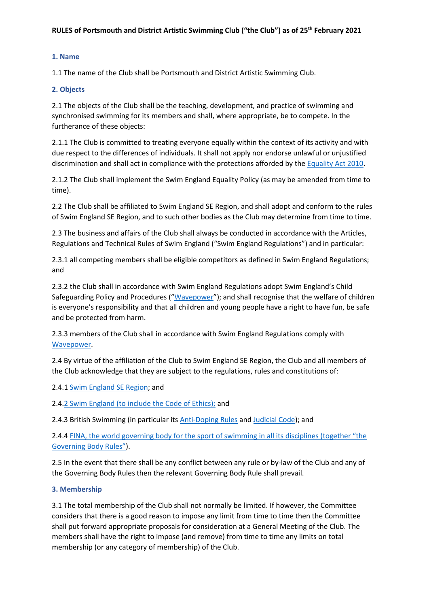# **1. Name**

1.1 The name of the Club shall be Portsmouth and District Artistic Swimming Club.

### **2. Objects**

2.1 The objects of the Club shall be the teaching, development, and practice of swimming and synchronised swimming for its members and shall, where appropriate, be to compete. In the furtherance of these objects:

2.1.1 The Club is committed to treating everyone equally within the context of its activity and with due respect to the differences of individuals. It shall not apply nor endorse unlawful or unjustified discrimination and shall act in compliance with the protections afforded by th[e Equality Act 2010.](https://www.legislation.gov.uk/ukpga/2010/15/contents)

2.1.2 The Club shall implement the Swim England Equality Policy (as may be amended from time to time).

2.2 The Club shall be affiliated to Swim England SE Region, and shall adopt and conform to the rules of Swim England SE Region, and to such other bodies as the Club may determine from time to time.

2.3 The business and affairs of the Club shall always be conducted in accordance with the Articles, Regulations and Technical Rules of Swim England ("Swim England Regulations") and in particular:

2.3.1 all competing members shall be eligible competitors as defined in Swim England Regulations; and

2.3.2 the Club shall in accordance with Swim England Regulations adopt Swim England's Child Safeguarding Policy and Procedures ("[Wavepower](https://docs.google.com/viewerng/viewer?url=https://www.swimming.org/library/documents/4692/download)"); and shall recognise that the welfare of children is everyone's responsibility and that all children and young people have a right to have fun, be safe and be protected from harm.

2.3.3 members of the Club shall in accordance with Swim England Regulations comply with [Wavepower.](https://docs.google.com/viewerng/viewer?url=https://www.swimming.org/library/documents/4692/download)

2.4 By virtue of the affiliation of the Club to Swim England SE Region, the Club and all members of the Club acknowledge that they are subject to the regulations, rules and constitutions of:

2.4.1 [Swim England SE Region;](https://www.southeastswimming.org/about/) and

2.[4.2 Swim England \(to include the Code of Ethics\);](https://docs.google.com/viewerng/viewer?url=https://www.swimming.org/library/documents/1990/download) and

2.4.3 British Swimming (in particular its **Anti-Doping Rules an[d Judicial Code\)](https://www.britishswimming.org/about-us/british-swimming-judicial-code/)**; and

2.4.4 [FINA, the world governing body for the sport of swimming in all its disciplines \(together "the](https://resources.fina.org/fina/document/2021/06/15/dfdc5d34-5752-4155-b1c4-82495a2c6019/22_FINA-Constitution_05.06.2021.pdf)  [Governing Body Rules"](https://resources.fina.org/fina/document/2021/06/15/dfdc5d34-5752-4155-b1c4-82495a2c6019/22_FINA-Constitution_05.06.2021.pdf)).

2.5 In the event that there shall be any conflict between any rule or by-law of the Club and any of the Governing Body Rules then the relevant Governing Body Rule shall prevail.

### **3. Membership**

3.1 The total membership of the Club shall not normally be limited. If however, the Committee considers that there is a good reason to impose any limit from time to time then the Committee shall put forward appropriate proposals for consideration at a General Meeting of the Club. The members shall have the right to impose (and remove) from time to time any limits on total membership (or any category of membership) of the Club.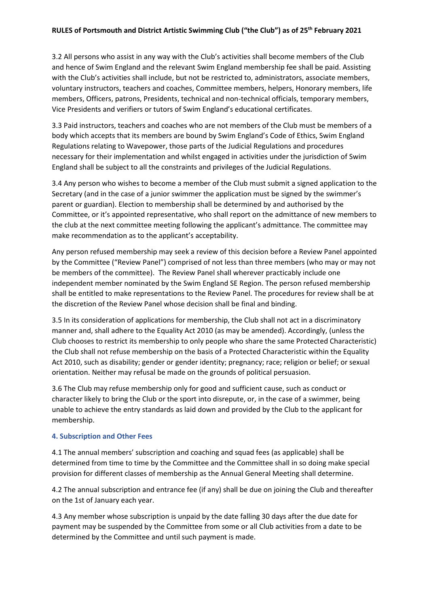3.2 All persons who assist in any way with the Club's activities shall become members of the Club and hence of Swim England and the relevant Swim England membership fee shall be paid. Assisting with the Club's activities shall include, but not be restricted to, administrators, associate members, voluntary instructors, teachers and coaches, Committee members, helpers, Honorary members, life members, Officers, patrons, Presidents, technical and non-technical officials, temporary members, Vice Presidents and verifiers or tutors of Swim England's educational certificates.

3.3 Paid instructors, teachers and coaches who are not members of the Club must be members of a body which accepts that its members are bound by Swim England's Code of Ethics, Swim England Regulations relating to Wavepower, those parts of the Judicial Regulations and procedures necessary for their implementation and whilst engaged in activities under the jurisdiction of Swim England shall be subject to all the constraints and privileges of the Judicial Regulations.

3.4 Any person who wishes to become a member of the Club must submit a signed application to the Secretary (and in the case of a junior swimmer the application must be signed by the swimmer's parent or guardian). Election to membership shall be determined by and authorised by the Committee, or it's appointed representative, who shall report on the admittance of new members to the club at the next committee meeting following the applicant's admittance. The committee may make recommendation as to the applicant's acceptability.

Any person refused membership may seek a review of this decision before a Review Panel appointed by the Committee ("Review Panel") comprised of not less than three members (who may or may not be members of the committee). The Review Panel shall wherever practicably include one independent member nominated by the Swim England SE Region. The person refused membership shall be entitled to make representations to the Review Panel. The procedures for review shall be at the discretion of the Review Panel whose decision shall be final and binding.

3.5 In its consideration of applications for membership, the Club shall not act in a discriminatory manner and, shall adhere to the Equality Act 2010 (as may be amended). Accordingly, (unless the Club chooses to restrict its membership to only people who share the same Protected Characteristic) the Club shall not refuse membership on the basis of a Protected Characteristic within the Equality Act 2010, such as disability; gender or gender identity; pregnancy; race; religion or belief; or sexual orientation. Neither may refusal be made on the grounds of political persuasion.

3.6 The Club may refuse membership only for good and sufficient cause, such as conduct or character likely to bring the Club or the sport into disrepute, or, in the case of a swimmer, being unable to achieve the entry standards as laid down and provided by the Club to the applicant for membership.

# **4. Subscription and Other Fees**

4.1 The annual members' subscription and coaching and squad fees (as applicable) shall be determined from time to time by the Committee and the Committee shall in so doing make special provision for different classes of membership as the Annual General Meeting shall determine.

4.2 The annual subscription and entrance fee (if any) shall be due on joining the Club and thereafter on the 1st of January each year.

4.3 Any member whose subscription is unpaid by the date falling 30 days after the due date for payment may be suspended by the Committee from some or all Club activities from a date to be determined by the Committee and until such payment is made.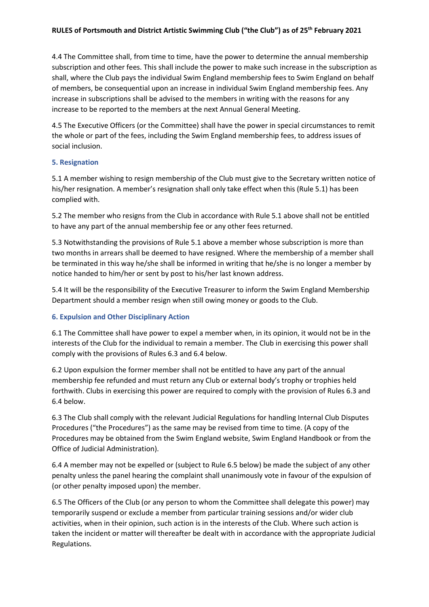# **RULES of Portsmouth and District Artistic Swimming Club ("the Club") as of 25th February 2021**

4.4 The Committee shall, from time to time, have the power to determine the annual membership subscription and other fees. This shall include the power to make such increase in the subscription as shall, where the Club pays the individual Swim England membership fees to Swim England on behalf of members, be consequential upon an increase in individual Swim England membership fees. Any increase in subscriptions shall be advised to the members in writing with the reasons for any increase to be reported to the members at the next Annual General Meeting.

4.5 The Executive Officers (or the Committee) shall have the power in special circumstances to remit the whole or part of the fees, including the Swim England membership fees, to address issues of social inclusion.

### **5. Resignation**

5.1 A member wishing to resign membership of the Club must give to the Secretary written notice of his/her resignation. A member's resignation shall only take effect when this (Rule 5.1) has been complied with.

5.2 The member who resigns from the Club in accordance with Rule 5.1 above shall not be entitled to have any part of the annual membership fee or any other fees returned.

5.3 Notwithstanding the provisions of Rule 5.1 above a member whose subscription is more than two months in arrears shall be deemed to have resigned. Where the membership of a member shall be terminated in this way he/she shall be informed in writing that he/she is no longer a member by notice handed to him/her or sent by post to his/her last known address.

5.4 It will be the responsibility of the Executive Treasurer to inform the Swim England Membership Department should a member resign when still owing money or goods to the Club.

### **6. Expulsion and Other Disciplinary Action**

6.1 The Committee shall have power to expel a member when, in its opinion, it would not be in the interests of the Club for the individual to remain a member. The Club in exercising this power shall comply with the provisions of Rules 6.3 and 6.4 below.

6.2 Upon expulsion the former member shall not be entitled to have any part of the annual membership fee refunded and must return any Club or external body's trophy or trophies held forthwith. Clubs in exercising this power are required to comply with the provision of Rules 6.3 and 6.4 below.

6.3 The Club shall comply with the relevant Judicial Regulations for handling Internal Club Disputes Procedures ("the Procedures") as the same may be revised from time to time. (A copy of the Procedures may be obtained from the Swim England website, Swim England Handbook or from the Office of Judicial Administration).

6.4 A member may not be expelled or (subject to Rule 6.5 below) be made the subject of any other penalty unless the panel hearing the complaint shall unanimously vote in favour of the expulsion of (or other penalty imposed upon) the member.

6.5 The Officers of the Club (or any person to whom the Committee shall delegate this power) may temporarily suspend or exclude a member from particular training sessions and/or wider club activities, when in their opinion, such action is in the interests of the Club. Where such action is taken the incident or matter will thereafter be dealt with in accordance with the appropriate Judicial Regulations.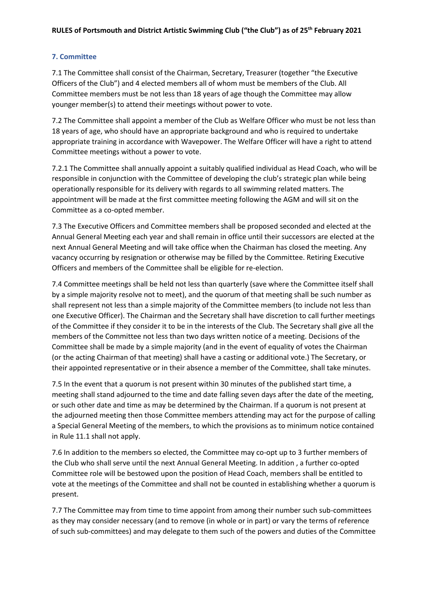# **7. Committee**

7.1 The Committee shall consist of the Chairman, Secretary, Treasurer (together "the Executive Officers of the Club") and 4 elected members all of whom must be members of the Club. All Committee members must be not less than 18 years of age though the Committee may allow younger member(s) to attend their meetings without power to vote.

7.2 The Committee shall appoint a member of the Club as Welfare Officer who must be not less than 18 years of age, who should have an appropriate background and who is required to undertake appropriate training in accordance with Wavepower. The Welfare Officer will have a right to attend Committee meetings without a power to vote.

7.2.1 The Committee shall annually appoint a suitably qualified individual as Head Coach, who will be responsible in conjunction with the Committee of developing the club's strategic plan while being operationally responsible for its delivery with regards to all swimming related matters. The appointment will be made at the first committee meeting following the AGM and will sit on the Committee as a co-opted member.

7.3 The Executive Officers and Committee members shall be proposed seconded and elected at the Annual General Meeting each year and shall remain in office until their successors are elected at the next Annual General Meeting and will take office when the Chairman has closed the meeting. Any vacancy occurring by resignation or otherwise may be filled by the Committee. Retiring Executive Officers and members of the Committee shall be eligible for re-election.

7.4 Committee meetings shall be held not less than quarterly (save where the Committee itself shall by a simple majority resolve not to meet), and the quorum of that meeting shall be such number as shall represent not less than a simple majority of the Committee members (to include not less than one Executive Officer). The Chairman and the Secretary shall have discretion to call further meetings of the Committee if they consider it to be in the interests of the Club. The Secretary shall give all the members of the Committee not less than two days written notice of a meeting. Decisions of the Committee shall be made by a simple majority (and in the event of equality of votes the Chairman (or the acting Chairman of that meeting) shall have a casting or additional vote.) The Secretary, or their appointed representative or in their absence a member of the Committee, shall take minutes.

7.5 In the event that a quorum is not present within 30 minutes of the published start time, a meeting shall stand adjourned to the time and date falling seven days after the date of the meeting, or such other date and time as may be determined by the Chairman. If a quorum is not present at the adjourned meeting then those Committee members attending may act for the purpose of calling a Special General Meeting of the members, to which the provisions as to minimum notice contained in Rule 11.1 shall not apply.

7.6 In addition to the members so elected, the Committee may co-opt up to 3 further members of the Club who shall serve until the next Annual General Meeting. In addition , a further co-opted Committee role will be bestowed upon the position of Head Coach, members shall be entitled to vote at the meetings of the Committee and shall not be counted in establishing whether a quorum is present.

7.7 The Committee may from time to time appoint from among their number such sub-committees as they may consider necessary (and to remove (in whole or in part) or vary the terms of reference of such sub-committees) and may delegate to them such of the powers and duties of the Committee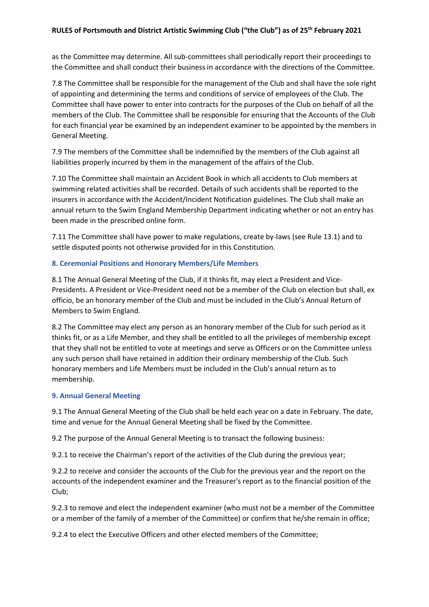## **RULES of Portsmouth and District Artistic Swimming Club ("the Club") as of 25th February 2021**

as the Committee may determine. All sub-committees shall periodically report their proceedings to the Committee and shall conduct their business in accordance with the directions of the Committee.

7.8 The Committee shall be responsible for the management of the Club and shall have the sole right of appointing and determining the terms and conditions of service of employees of the Club. The Committee shall have power to enter into contracts for the purposes of the Club on behalf of all the members of the Club. The Committee shall be responsible for ensuring that the Accounts of the Club for each financial year be examined by an independent examiner to be appointed by the members in General Meeting.

7.9 The members of the Committee shall be indemnified by the members of the Club against all liabilities properly incurred by them in the management of the affairs of the Club.

7.10 The Committee shall maintain an Accident Book in which all accidents to Club members at swimming related activities shall be recorded. Details of such accidents shall be reported to the insurers in accordance with the Accident/Incident Notification guidelines. The Club shall make an annual return to the Swim England Membership Department indicating whether or not an entry has been made in the prescribed online form.

7.11 The Committee shall have power to make regulations, create by-laws (see Rule 13.1) and to settle disputed points not otherwise provided for in this Constitution.

## **8. Ceremonial Positions and Honorary Members/Life Members**

8.1 The Annual General Meeting of the Club, if it thinks fit, may elect a President and Vice-Presidents. A President or Vice-President need not be a member of the Club on election but shall, ex officio, be an honorary member of the Club and must be included in the Club's Annual Return of Members to Swim England.

8.2 The Committee may elect any person as an honorary member of the Club for such period as it thinks fit, or as a Life Member, and they shall be entitled to all the privileges of membership except that they shall not be entitled to vote at meetings and serve as Officers or on the Committee unless any such person shall have retained in addition their ordinary membership of the Club. Such honorary members and Life Members must be included in the Club's annual return as to membership.

### **9. Annual General Meeting**

9.1 The Annual General Meeting of the Club shall be held each year on a date in February. The date, time and venue for the Annual General Meeting shall be fixed by the Committee.

9.2 The purpose of the Annual General Meeting is to transact the following business:

9.2.1 to receive the Chairman's report of the activities of the Club during the previous year;

9.2.2 to receive and consider the accounts of the Club for the previous year and the report on the accounts of the independent examiner and the Treasurer's report as to the financial position of the Club;

9.2.3 to remove and elect the independent examiner (who must not be a member of the Committee or a member of the family of a member of the Committee) or confirm that he/she remain in office;

9.2.4 to elect the Executive Officers and other elected members of the Committee;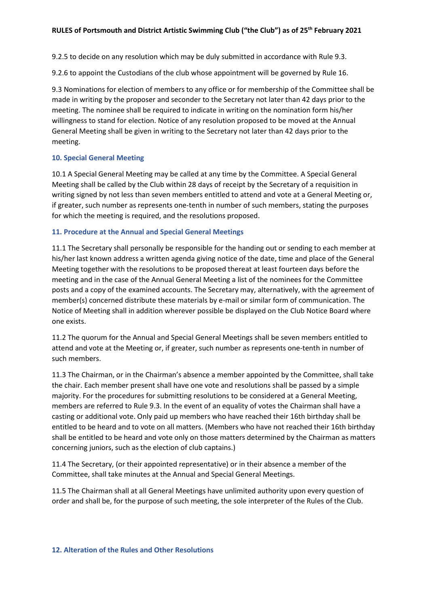9.2.5 to decide on any resolution which may be duly submitted in accordance with Rule 9.3.

9.2.6 to appoint the Custodians of the club whose appointment will be governed by Rule 16.

9.3 Nominations for election of members to any office or for membership of the Committee shall be made in writing by the proposer and seconder to the Secretary not later than 42 days prior to the meeting. The nominee shall be required to indicate in writing on the nomination form his/her willingness to stand for election. Notice of any resolution proposed to be moved at the Annual General Meeting shall be given in writing to the Secretary not later than 42 days prior to the meeting.

## **10. Special General Meeting**

10.1 A Special General Meeting may be called at any time by the Committee. A Special General Meeting shall be called by the Club within 28 days of receipt by the Secretary of a requisition in writing signed by not less than seven members entitled to attend and vote at a General Meeting or, if greater, such number as represents one-tenth in number of such members, stating the purposes for which the meeting is required, and the resolutions proposed.

## **11. Procedure at the Annual and Special General Meetings**

11.1 The Secretary shall personally be responsible for the handing out or sending to each member at his/her last known address a written agenda giving notice of the date, time and place of the General Meeting together with the resolutions to be proposed thereat at least fourteen days before the meeting and in the case of the Annual General Meeting a list of the nominees for the Committee posts and a copy of the examined accounts. The Secretary may, alternatively, with the agreement of member(s) concerned distribute these materials by e-mail or similar form of communication. The Notice of Meeting shall in addition wherever possible be displayed on the Club Notice Board where one exists.

11.2 The quorum for the Annual and Special General Meetings shall be seven members entitled to attend and vote at the Meeting or, if greater, such number as represents one-tenth in number of such members.

11.3 The Chairman, or in the Chairman's absence a member appointed by the Committee, shall take the chair. Each member present shall have one vote and resolutions shall be passed by a simple majority. For the procedures for submitting resolutions to be considered at a General Meeting, members are referred to Rule 9.3. In the event of an equality of votes the Chairman shall have a casting or additional vote. Only paid up members who have reached their 16th birthday shall be entitled to be heard and to vote on all matters. (Members who have not reached their 16th birthday shall be entitled to be heard and vote only on those matters determined by the Chairman as matters concerning juniors, such as the election of club captains.)

11.4 The Secretary, (or their appointed representative) or in their absence a member of the Committee, shall take minutes at the Annual and Special General Meetings.

11.5 The Chairman shall at all General Meetings have unlimited authority upon every question of order and shall be, for the purpose of such meeting, the sole interpreter of the Rules of the Club.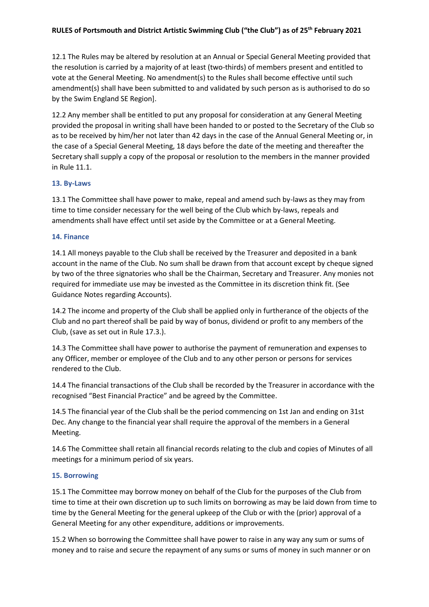# **RULES of Portsmouth and District Artistic Swimming Club ("the Club") as of 25th February 2021**

12.1 The Rules may be altered by resolution at an Annual or Special General Meeting provided that the resolution is carried by a majority of at least (two-thirds) of members present and entitled to vote at the General Meeting. No amendment(s) to the Rules shall become effective until such amendment(s) shall have been submitted to and validated by such person as is authorised to do so by the Swim England SE Region].

12.2 Any member shall be entitled to put any proposal for consideration at any General Meeting provided the proposal in writing shall have been handed to or posted to the Secretary of the Club so as to be received by him/her not later than 42 days in the case of the Annual General Meeting or, in the case of a Special General Meeting, 18 days before the date of the meeting and thereafter the Secretary shall supply a copy of the proposal or resolution to the members in the manner provided in Rule 11.1.

#### **13. By-Laws**

13.1 The Committee shall have power to make, repeal and amend such by-laws as they may from time to time consider necessary for the well being of the Club which by-laws, repeals and amendments shall have effect until set aside by the Committee or at a General Meeting.

#### **14. Finance**

14.1 All moneys payable to the Club shall be received by the Treasurer and deposited in a bank account in the name of the Club. No sum shall be drawn from that account except by cheque signed by two of the three signatories who shall be the Chairman, Secretary and Treasurer. Any monies not required for immediate use may be invested as the Committee in its discretion think fit. (See Guidance Notes regarding Accounts).

14.2 The income and property of the Club shall be applied only in furtherance of the objects of the Club and no part thereof shall be paid by way of bonus, dividend or profit to any members of the Club, (save as set out in Rule 17.3.).

14.3 The Committee shall have power to authorise the payment of remuneration and expenses to any Officer, member or employee of the Club and to any other person or persons for services rendered to the Club.

14.4 The financial transactions of the Club shall be recorded by the Treasurer in accordance with the recognised "Best Financial Practice" and be agreed by the Committee.

14.5 The financial year of the Club shall be the period commencing on 1st Jan and ending on 31st Dec. Any change to the financial year shall require the approval of the members in a General Meeting.

14.6 The Committee shall retain all financial records relating to the club and copies of Minutes of all meetings for a minimum period of six years.

#### **15. Borrowing**

15.1 The Committee may borrow money on behalf of the Club for the purposes of the Club from time to time at their own discretion up to such limits on borrowing as may be laid down from time to time by the General Meeting for the general upkeep of the Club or with the (prior) approval of a General Meeting for any other expenditure, additions or improvements.

15.2 When so borrowing the Committee shall have power to raise in any way any sum or sums of money and to raise and secure the repayment of any sums or sums of money in such manner or on